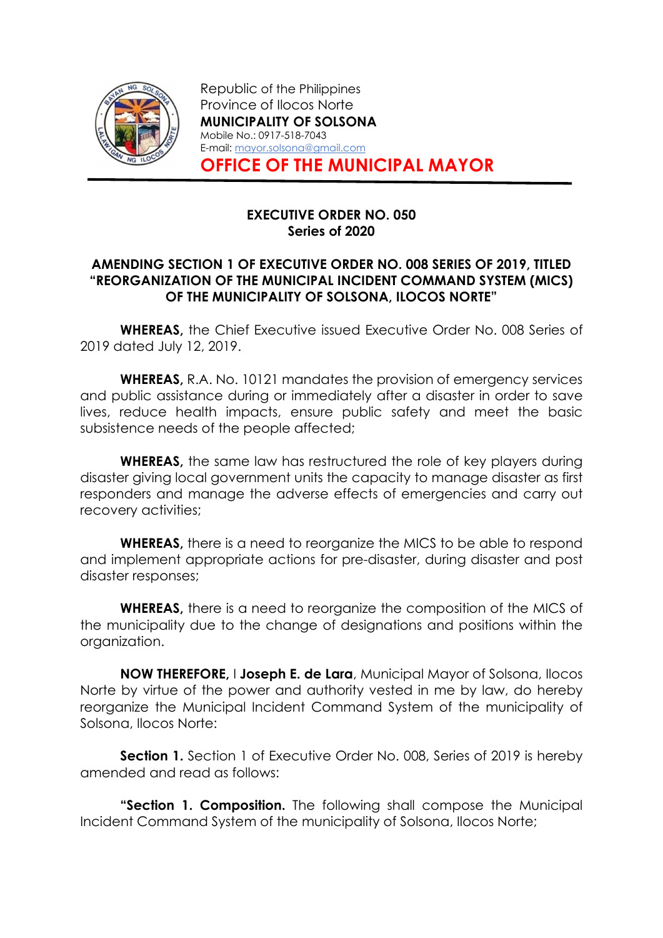

Republic of the Philippines Province of Ilocos Norte MUNICIPALITY OF SOLSONA Mobile No.: 0917-518-7043 E-mail: mayor.solsona@gmail.com OFFICE OF THE MUNICIPAL MAYOR

### EXECUTIVE ORDER NO. 050 Series of 2020

### AMENDING SECTION 1 OF EXECUTIVE ORDER NO. 008 SERIES OF 2019, TITLED "REORGANIZATION OF THE MUNICIPAL INCIDENT COMMAND SYSTEM (MICS) OF THE MUNICIPALITY OF SOLSONA, ILOCOS NORTE"

WHEREAS, the Chief Executive issued Executive Order No. 008 Series of 2019 dated July 12, 2019.

WHEREAS, R.A. No. 10121 mandates the provision of emergency services and public assistance during or immediately after a disaster in order to save lives, reduce health impacts, ensure public safety and meet the basic subsistence needs of the people affected;

WHEREAS, the same law has restructured the role of key players during disaster giving local government units the capacity to manage disaster as first responders and manage the adverse effects of emergencies and carry out recovery activities;

WHEREAS, there is a need to reorganize the MICS to be able to respond and implement appropriate actions for pre-disaster, during disaster and post disaster responses;

WHEREAS, there is a need to reorganize the composition of the MICS of the municipality due to the change of designations and positions within the organization.

NOW THEREFORE, I Joseph E. de Lara, Municipal Mayor of Solsona, Ilocos Norte by virtue of the power and authority vested in me by law, do hereby reorganize the Municipal Incident Command System of the municipality of Solsona, Ilocos Norte:

**Section 1.** Section 1 of Executive Order No. 008, Series of 2019 is hereby amended and read as follows:

**"Section 1. Composition.** The following shall compose the Municipal Incident Command System of the municipality of Solsona, Ilocos Norte;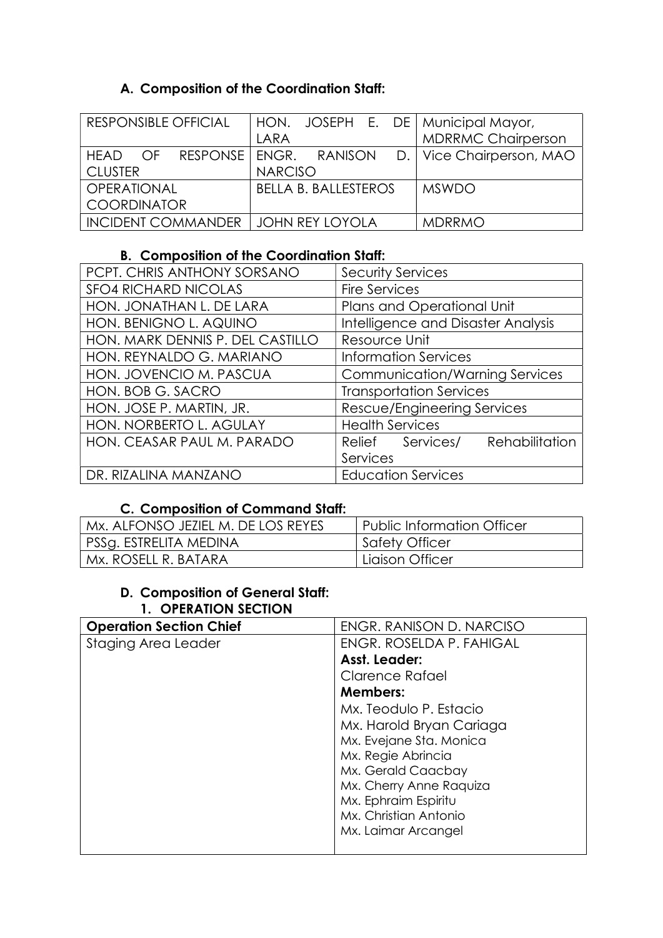## A. Composition of the Coordination Staff:

| RESPONSIBLE OFFICIAL      | HON. JOSEPH E. DE   Municipal Mayor, |                            |
|---------------------------|--------------------------------------|----------------------------|
|                           | LARA                                 | <b>MDRRMC Chairperson</b>  |
| HEAD<br>$\bigcirc$ F      | RESPONSE   ENGR. RANISON             | D.   Vice Chairperson, MAO |
| <b>CLUSTER</b>            | <b>NARCISO</b>                       |                            |
| <b>OPERATIONAL</b>        | <b>BELLA B. BALLESTEROS</b>          | <b>MSWDO</b>               |
| <b>COORDINATOR</b>        |                                      |                            |
| <b>INCIDENT COMMANDER</b> | <b>JOHN REY LOYOLA</b>               | <b>MDRRMO</b>              |

# B. Composition of the Coordination Staff:

| PCPT. CHRIS ANTHONY SORSANO      | <b>Security Services</b>              |
|----------------------------------|---------------------------------------|
| <b>SFO4 RICHARD NICOLAS</b>      | <b>Fire Services</b>                  |
| HON. JONATHAN L. DE LARA         | Plans and Operational Unit            |
| HON. BENIGNO L. AQUINO           | Intelligence and Disaster Analysis    |
| HON. MARK DENNIS P. DEL CASTILLO | Resource Unit                         |
| HON. REYNALDO G. MARIANO         | <b>Information Services</b>           |
| HON. JOVENCIO M. PASCUA          | <b>Communication/Warning Services</b> |
| HON. BOB G. SACRO                | <b>Transportation Services</b>        |
| HON. JOSE P. MARTIN, JR.         | Rescue/Engineering Services           |
| HON. NORBERTO L. AGULAY          | <b>Health Services</b>                |
| HON. CEASAR PAUL M. PARADO       | Relief Services/<br>Rehabilitation    |
|                                  | Services                              |
| DR. RIZALINA MANZANO             | <b>Education Services</b>             |

# C. Composition of Command Staff:

| Mx. ALFONSO JEZIEL M. DE LOS REYES | Public Information Officer |
|------------------------------------|----------------------------|
| PSSg. ESTRELITA MEDINA             | Safety Officer             |
| Mx. ROSELL R. BATARA               | Liaison Officer            |

#### D. Composition of General Staff: 1. OPERATION SECTION

| <b>Operation Section Chief</b> | ENGR. RANISON D. NARCISO |
|--------------------------------|--------------------------|
| <b>Staging Area Leader</b>     | ENGR. ROSELDA P. FAHIGAL |
|                                | Asst. Leader:            |
|                                | Clarence Rafael          |
|                                | <b>Members:</b>          |
|                                | Mx. Teodulo P. Estacio   |
|                                | Mx. Harold Bryan Cariaga |
|                                | Mx. Evejane Sta. Monica  |
|                                | Mx. Regie Abrincia       |
|                                | Mx. Gerald Caacbay       |
|                                | Mx. Cherry Anne Raquiza  |
|                                | Mx. Ephraim Espiritu     |
|                                | Mx. Christian Antonio    |
|                                | Mx. Laimar Arcangel      |
|                                |                          |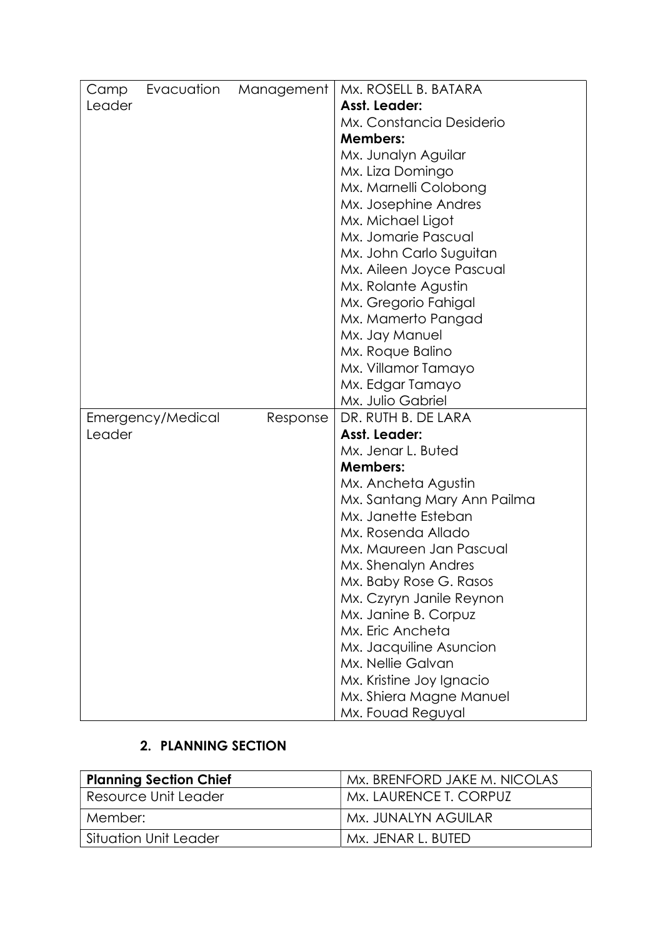| Camp   | Evacuation        | Management | Mx. ROSELL B. BATARA        |
|--------|-------------------|------------|-----------------------------|
| Leader |                   |            | Asst. Leader:               |
|        |                   |            | Mx. Constancia Desiderio    |
|        |                   |            | <b>Members:</b>             |
|        |                   |            | Mx. Junalyn Aguilar         |
|        |                   |            | Mx. Liza Domingo            |
|        |                   |            | Mx. Marnelli Colobong       |
|        |                   |            | Mx. Josephine Andres        |
|        |                   |            | Mx. Michael Ligot           |
|        |                   |            | Mx. Jomarie Pascual         |
|        |                   |            | Mx. John Carlo Suguitan     |
|        |                   |            | Mx. Aileen Joyce Pascual    |
|        |                   |            | Mx. Rolante Agustin         |
|        |                   |            | Mx. Gregorio Fahigal        |
|        |                   |            | Mx. Mamerto Pangad          |
|        |                   |            | Mx. Jay Manuel              |
|        |                   |            | Mx. Roque Balino            |
|        |                   |            | Mx. Villamor Tamayo         |
|        |                   |            | Mx. Edgar Tamayo            |
|        |                   |            | Mx. Julio Gabriel           |
|        | Emergency/Medical | Response   | DR. RUTH B. DE LARA         |
| Leader |                   |            | Asst. Leader:               |
|        |                   |            | Mx. Jenar L. Buted          |
|        |                   |            | <b>Members:</b>             |
|        |                   |            | Mx. Ancheta Agustin         |
|        |                   |            | Mx. Santang Mary Ann Pailma |
|        |                   |            | Mx. Janette Esteban         |
|        |                   |            | Mx. Rosenda Allado          |
|        |                   |            | Mx. Maureen Jan Pascual     |
|        |                   |            | Mx. Shenalyn Andres         |
|        |                   |            | Mx. Baby Rose G. Rasos      |
|        |                   |            | Mx. Czyryn Janile Reynon    |
|        |                   |            | Mx. Janine B. Corpuz        |
|        |                   |            | Mx. Eric Ancheta            |
|        |                   |            | Mx. Jacquiline Asuncion     |
|        |                   |            | Mx. Nellie Galvan           |
|        |                   |            | Mx. Kristine Joy Ignacio    |
|        |                   |            | Mx. Shiera Magne Manuel     |
|        |                   |            | Mx. Fouad Reguyal           |

## 2. PLANNING SECTION

| <b>Planning Section Chief</b> | Mx. BRENFORD JAKE M. NICOLAS |
|-------------------------------|------------------------------|
| Resource Unit Leader          | Mx. LAURENCE T. CORPUZ       |
| Member:                       | Mx. JUNALYN AGUILAR          |
| Situation Unit Leader         | Mx. JENAR L. BUTED           |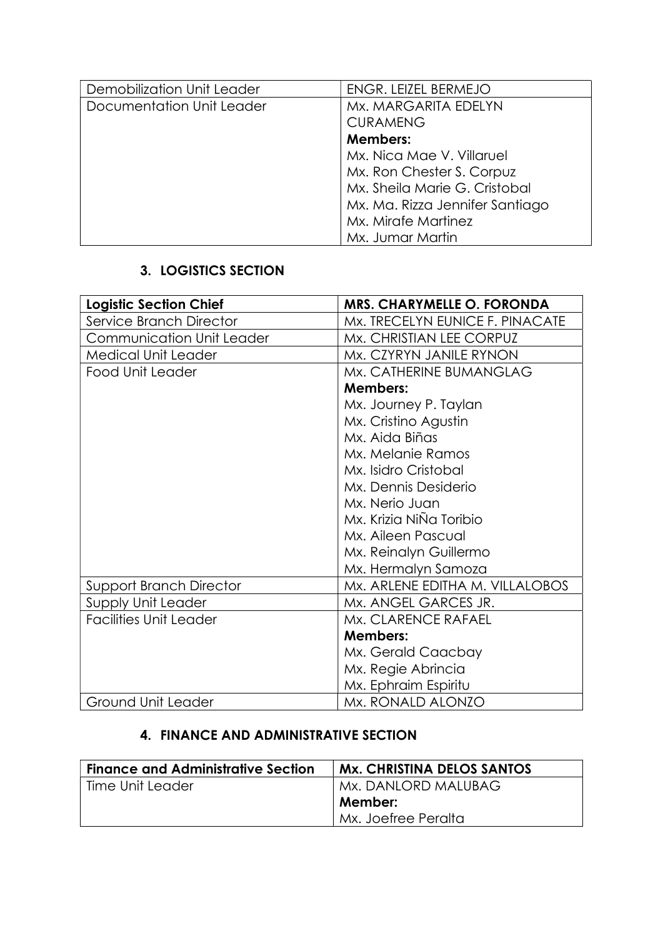| Demobilization Unit Leader | ENGR. LEIZEL BERMEJO            |
|----------------------------|---------------------------------|
| Documentation Unit Leader  | Mx. MARGARITA EDELYN            |
|                            | <b>CURAMENG</b>                 |
|                            | Members:                        |
|                            | Mx. Nica Mae V. Villaruel       |
|                            | Mx. Ron Chester S. Corpuz       |
|                            | Mx. Sheila Marie G. Cristobal   |
|                            | Mx. Ma. Rizza Jennifer Santiago |
|                            | Mx. Mirafe Martinez             |
|                            | Mx. Jumar Martin                |

## 3. LOGISTICS SECTION

| <b>Logistic Section Chief</b>  | <b>MRS. CHARYMELLE O. FORONDA</b> |
|--------------------------------|-----------------------------------|
| Service Branch Director        | Mx. TRECELYN EUNICE F. PINACATE   |
| Communication Unit Leader      | Mx. CHRISTIAN LEE CORPUZ          |
| <b>Medical Unit Leader</b>     | Mx. CZYRYN JANILE RYNON           |
| Food Unit Leader               | Mx. CATHERINE BUMANGLAG           |
|                                | <b>Members:</b>                   |
|                                | Mx. Journey P. Taylan             |
|                                | Mx. Cristino Agustin              |
|                                | Mx. Aida Biñas                    |
|                                | Mx. Melanie Ramos                 |
|                                | Mx. Isidro Cristobal              |
|                                | Mx. Dennis Desiderio              |
|                                | Mx. Nerio Juan                    |
|                                | Mx. Krizia NiÑa Toribio           |
|                                | Mx. Aileen Pascual                |
|                                | Mx. Reinalyn Guillermo            |
|                                | Mx. Hermalyn Samoza               |
| <b>Support Branch Director</b> | Mx. ARLENE EDITHA M. VILLALOBOS   |
| Supply Unit Leader             | Mx. ANGEL GARCES JR.              |
| <b>Facilities Unit Leader</b>  | Mx. CLARENCE RAFAEL               |
|                                | <b>Members:</b>                   |
|                                | Mx. Gerald Caacbay                |
|                                | Mx. Regie Abrincia                |
|                                | Mx. Ephraim Espiritu              |
| Ground Unit Leader             | Mx. RONALD ALONZO                 |

## 4. FINANCE AND ADMINISTRATIVE SECTION

| <b>Finance and Administrative Section</b> | <b>Mx. CHRISTINA DELOS SANTOS</b> |
|-------------------------------------------|-----------------------------------|
| Time Unit Leader                          | Mx. DANLORD MALUBAG               |
|                                           | Member:                           |
|                                           | Mx. Joefree Peralta               |